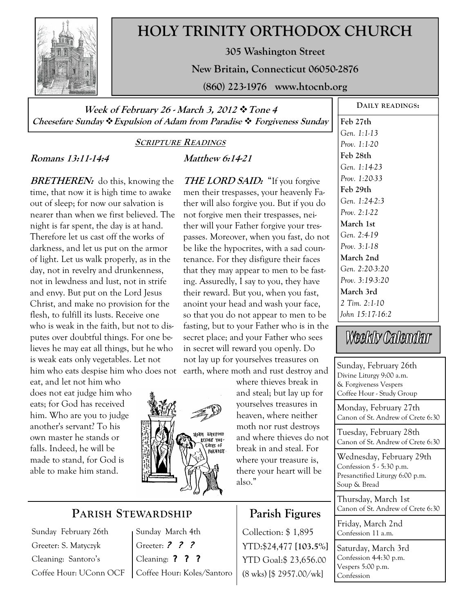

# **HOLY TRINITY ORTHODOX CHURCH**

**305 Washington Street** 

**New Britain, Connecticut 06050-2876** 

**(860) 223-1976 www.htocnb.org** 

**Week of February 26 - March 3, 2012 Tone 4 Cheesefare Sunday Expulsion of Adam from Paradise Forgiveness Sunday** 

#### **SCRIPTURE READINGS**

## **Romans 13:11-14:4**

**BRETHEREN:** do this, knowing the time, that now it is high time to awake out of sleep; for now our salvation is nearer than when we first believed. The night is far spent, the day is at hand. Therefore let us cast off the works of darkness, and let us put on the armor of light. Let us walk properly, as in the day, not in revelry and drunkenness, not in lewdness and lust, not in strife and envy. But put on the Lord Jesus Christ, and make no provision for the flesh, to fulfill its lusts. Receive one who is weak in the faith, but not to disputes over doubtful things. For one believes he may eat all things, but he who is weak eats only vegetables. Let not him who eats despise him who does not

eat, and let not him who does not eat judge him who eats; for God has received him. Who are you to judge another's servant? To his own master he stands or falls. Indeed, he will be made to stand, for God is able to make him stand.

# **Matthew 6:14-21**

**THE LORD SAID:** "If you forgive men their trespasses, your heavenly Father will also forgive you. But if you do not forgive men their trespasses, neither will your Father forgive your trespasses. Moreover, when you fast, do not be like the hypocrites, with a sad countenance. For they disfigure their faces that they may appear to men to be fasting. Assuredly, I say to you, they have their reward. But you, when you fast, anoint your head and wash your face, so that you do not appear to men to be fasting, but to your Father who is in the secret place; and your Father who sees in secret will reward you openly. Do not lay up for yourselves treasures on earth, where moth and rust destroy and

where thieves break in and steal; but lay up for yourselves treasures in heaven, where neither moth nor rust destroys and where thieves do not break in and steal. For where your treasure is, there your heart will be also."

# **Parish Figures**

Collection:  $$1,895$  Confession 11 a.m. YTD:\$24,477 **[103.5%]** YTD Goal:\$ 23,656.00 (8 wks) [\$ 2957.00/wk]

**DAILY READINGS: Feb 27th**  *Gen. 1:1-13 Prov. 1:1-20*  **Feb 28th**  *Gen. 1:14-23 Prov. 1:20-33*  **Feb 29th**  *Gen. 1:24-2:3 Prov. 2:1-22*  **March 1st**  *Gen. 2:4-19 Prov. 3:1-18*  **March 2nd**  *Gen. 2:20-3:20 Prov. 3:19-3:20*  **March 3rd**  *2 Tim. 2:1-10 John 15:17-16:2* 

Weekly Calendar

Sunday, February 26th Divine Liturgy 9:00 a.m. & Forgiveness Vespers Coffee Hour - Study Group

Monday, February 27th Canon of St. Andrew of Crete 6:30

Tuesday, February 28th Canon of St. Andrew of Crete 6:30

Wednesday, February 29th Confession 5 - 5:30 p.m. Presanctified Liturgy 6:00 p.m. Soup & Bread

Thursday, March 1st Canon of St. Andrew of Crete 6:30

Friday, March 2nd

Saturday, March 3rd Confession 4-4:30 p.m. Vespers 5:00 p.m. Confession



# **PARISH STEWARDSHIP**

Sunday February 26th Greeter: S. Matyczyk Cleaning: Santoro's Coffee Hour: UConn OCF Sunday March 4th Greeter: ? ? ? Cleaning: ? ? ? Coffee Hour: Koles/Santoro